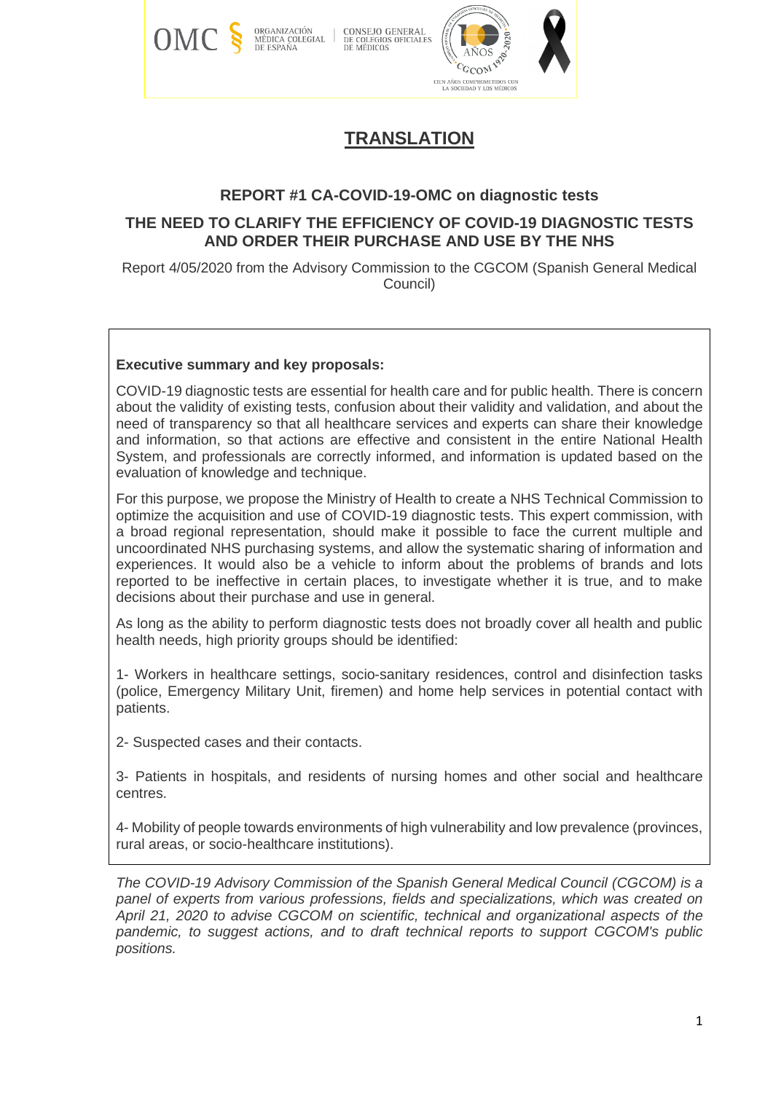

# **TRANSLATION**

# **REPORT #1 CA-COVID-19-OMC on diagnostic tests**

# **THE NEED TO CLARIFY THE EFFICIENCY OF COVID-19 DIAGNOSTIC TESTS AND ORDER THEIR PURCHASE AND USE BY THE NHS**

Report 4/05/2020 from the Advisory Commission to the CGCOM (Spanish General Medical Council)

#### **Executive summary and key proposals:**

COVID-19 diagnostic tests are essential for health care and for public health. There is concern about the validity of existing tests, confusion about their validity and validation, and about the need of transparency so that all healthcare services and experts can share their knowledge and information, so that actions are effective and consistent in the entire National Health System, and professionals are correctly informed, and information is updated based on the evaluation of knowledge and technique.

For this purpose, we propose the Ministry of Health to create a NHS Technical Commission to optimize the acquisition and use of COVID-19 diagnostic tests. This expert commission, with a broad regional representation, should make it possible to face the current multiple and uncoordinated NHS purchasing systems, and allow the systematic sharing of information and experiences. It would also be a vehicle to inform about the problems of brands and lots reported to be ineffective in certain places, to investigate whether it is true, and to make decisions about their purchase and use in general.

As long as the ability to perform diagnostic tests does not broadly cover all health and public health needs, high priority groups should be identified:

1- Workers in healthcare settings, socio-sanitary residences, control and disinfection tasks (police, Emergency Military Unit, firemen) and home help services in potential contact with patients.

2- Suspected cases and their contacts.

3- Patients in hospitals, and residents of nursing homes and other social and healthcare centres.

4- Mobility of people towards environments of high vulnerability and low prevalence (provinces, rural areas, or socio-healthcare institutions).

*The COVID-19 Advisory Commission of the Spanish General Medical Council (CGCOM) is a panel of experts from various professions, fields and specializations, which was created on April 21, 2020 to advise CGCOM on scientific, technical and organizational aspects of the pandemic, to suggest actions, and to draft technical reports to support CGCOM's public positions.*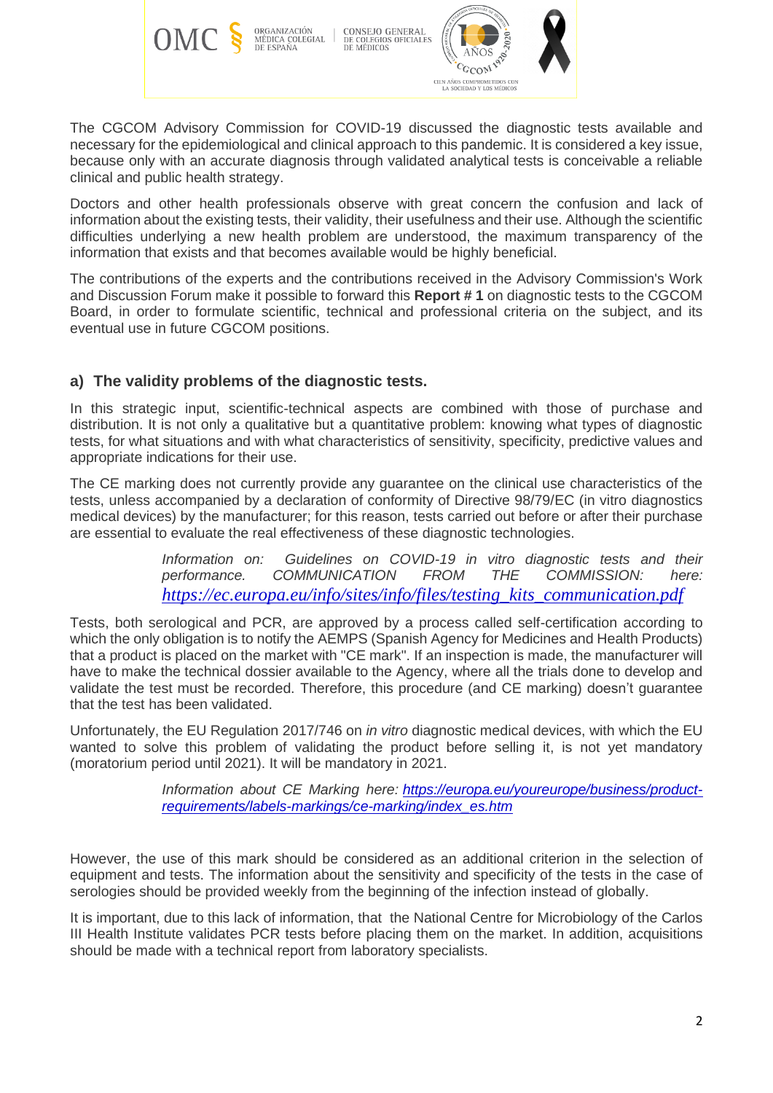

CONSEJO GENERAL DE COLEGIOS OFICIALES<br>DE MÉDICOS



The CGCOM Advisory Commission for COVID-19 discussed the diagnostic tests available and necessary for the epidemiological and clinical approach to this pandemic. It is considered a key issue, because only with an accurate diagnosis through validated analytical tests is conceivable a reliable clinical and public health strategy.

Doctors and other health professionals observe with great concern the confusion and lack of information about the existing tests, their validity, their usefulness and their use. Although the scientific difficulties underlying a new health problem are understood, the maximum transparency of the information that exists and that becomes available would be highly beneficial.

The contributions of the experts and the contributions received in the Advisory Commission's Work and Discussion Forum make it possible to forward this **Report # 1** on diagnostic tests to the CGCOM Board, in order to formulate scientific, technical and professional criteria on the subject, and its eventual use in future CGCOM positions.

# **a) The validity problems of the diagnostic tests.**

In this strategic input, scientific-technical aspects are combined with those of purchase and distribution. It is not only a qualitative but a quantitative problem: knowing what types of diagnostic tests, for what situations and with what characteristics of sensitivity, specificity, predictive values and appropriate indications for their use.

The CE marking does not currently provide any guarantee on the clinical use characteristics of the tests, unless accompanied by a declaration of conformity of Directive 98/79/EC (in vitro diagnostics medical devices) by the manufacturer; for this reason, tests carried out before or after their purchase are essential to evaluate the real effectiveness of these diagnostic technologies.

> *Information on:* Guidelines on COVID-19 in vitro diagnostic tests and their *performance. COMMUNICATION FROM THE COMMISSION: here: [https://ec.europa.eu/info/sites/info/files/testing\\_kits\\_communication.pdf](https://ec.europa.eu/info/sites/info/files/testing_kits_communication.pdf)*

Tests, both serological and PCR, are approved by a process called self-certification according to which the only obligation is to notify the AEMPS (Spanish Agency for Medicines and Health Products) that a product is placed on the market with "CE mark". If an inspection is made, the manufacturer will have to make the technical dossier available to the Agency, where all the trials done to develop and validate the test must be recorded. Therefore, this procedure (and CE marking) doesn't guarantee that the test has been validated.

Unfortunately, the EU Regulation 2017/746 on *in vitro* diagnostic medical devices, with which the EU wanted to solve this problem of validating the product before selling it, is not yet mandatory (moratorium period until 2021). It will be mandatory in 2021.

> *Information about CE Marking here: [https://europa.eu/youreurope/business/product](https://europa.eu/youreurope/business/product-requirements/labels-markings/ce-marking/index_es.htm)[requirements/labels-markings/ce-marking/index\\_es.htm](https://europa.eu/youreurope/business/product-requirements/labels-markings/ce-marking/index_es.htm)*

However, the use of this mark should be considered as an additional criterion in the selection of equipment and tests. The information about the sensitivity and specificity of the tests in the case of serologies should be provided weekly from the beginning of the infection instead of globally.

It is important, due to this lack of information, that the National Centre for Microbiology of the Carlos III Health Institute validates PCR tests before placing them on the market. In addition, acquisitions should be made with a technical report from laboratory specialists.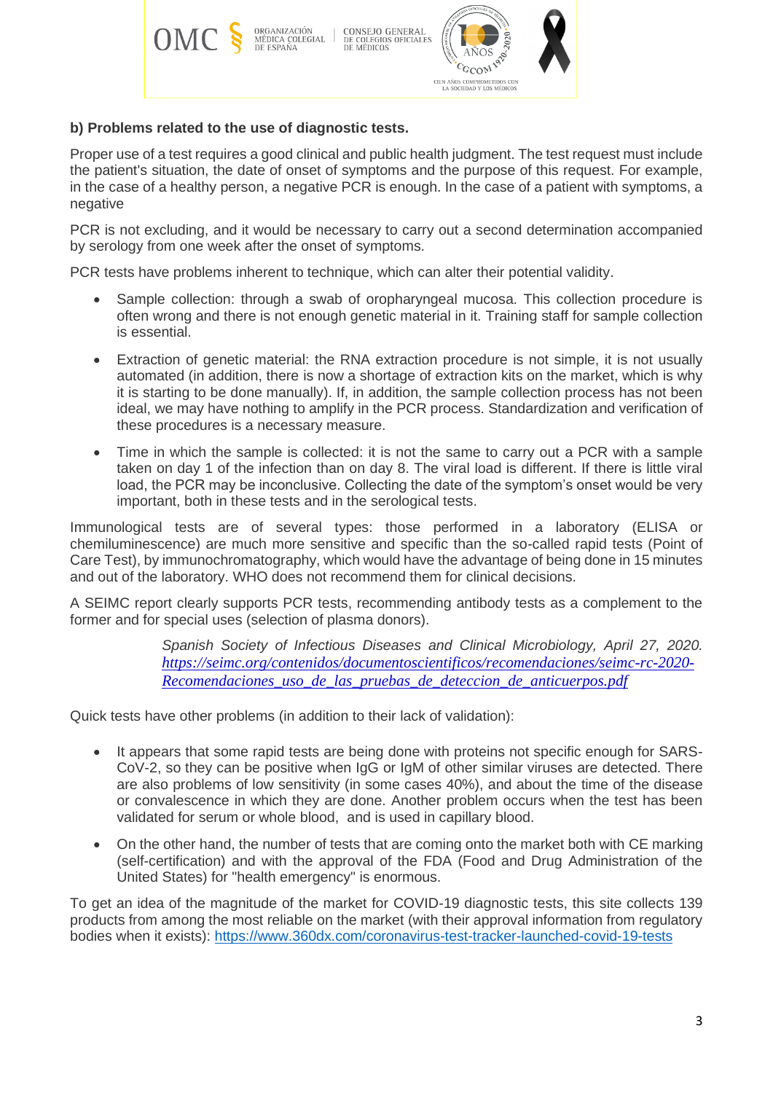

# **b) Problems related to the use of diagnostic tests.**

Proper use of a test requires a good clinical and public health judgment. The test request must include the patient's situation, the date of onset of symptoms and the purpose of this request. For example, in the case of a healthy person, a negative PCR is enough. In the case of a patient with symptoms, a negative

PCR is not excluding, and it would be necessary to carry out a second determination accompanied by serology from one week after the onset of symptoms.

PCR tests have problems inherent to technique, which can alter their potential validity.

- Sample collection: through a swab of oropharyngeal mucosa. This collection procedure is often wrong and there is not enough genetic material in it. Training staff for sample collection is essential.
- Extraction of genetic material: the RNA extraction procedure is not simple, it is not usually automated (in addition, there is now a shortage of extraction kits on the market, which is why it is starting to be done manually). If, in addition, the sample collection process has not been ideal, we may have nothing to amplify in the PCR process. Standardization and verification of these procedures is a necessary measure.
- Time in which the sample is collected: it is not the same to carry out a PCR with a sample taken on day 1 of the infection than on day 8. The viral load is different. If there is little viral load, the PCR may be inconclusive. Collecting the date of the symptom's onset would be very important, both in these tests and in the serological tests.

Immunological tests are of several types: those performed in a laboratory (ELISA or chemiluminescence) are much more sensitive and specific than the so-called rapid tests (Point of Care Test), by immunochromatography, which would have the advantage of being done in 15 minutes and out of the laboratory. WHO does not recommend them for clinical decisions.

A SEIMC report clearly supports PCR tests, recommending antibody tests as a complement to the former and for special uses (selection of plasma donors).

> *Spanish Society of Infectious Diseases and Clinical Microbiology, April 27, 2020. [https://seimc.org/contenidos/documentoscientificos/recomendaciones/seimc-rc-2020-](https://seimc.org/contenidos/documentoscientificos/recomendaciones/seimc-rc-2020-Recomendaciones_uso_de_las_pruebas_de_deteccion_de_anticuerpos.pdf) [Recomendaciones\\_uso\\_de\\_las\\_pruebas\\_de\\_deteccion\\_de\\_anticuerpos.pdf](https://seimc.org/contenidos/documentoscientificos/recomendaciones/seimc-rc-2020-Recomendaciones_uso_de_las_pruebas_de_deteccion_de_anticuerpos.pdf)*

Quick tests have other problems (in addition to their lack of validation):

- It appears that some rapid tests are being done with proteins not specific enough for SARS-CoV-2, so they can be positive when IgG or IgM of other similar viruses are detected. There are also problems of low sensitivity (in some cases 40%), and about the time of the disease or convalescence in which they are done. Another problem occurs when the test has been validated for serum or whole blood, and is used in capillary blood.
- On the other hand, the number of tests that are coming onto the market both with CE marking (self-certification) and with the approval of the FDA (Food and Drug Administration of the United States) for "health emergency" is enormous.

To get an idea of the magnitude of the market for COVID-19 diagnostic tests, this site collects 139 products from among the most reliable on the market (with their approval information from regulatory bodies when it exists):<https://www.360dx.com/coronavirus-test-tracker-launched-covid-19-tests>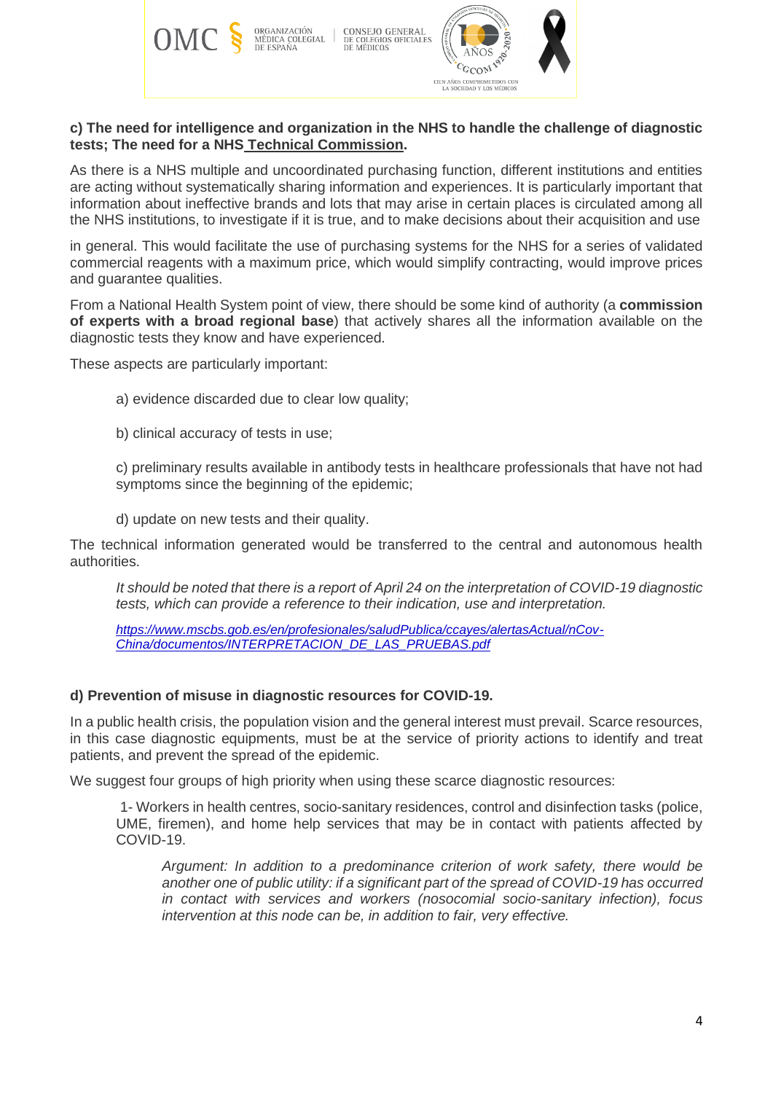

### **c) The need for intelligence and organization in the NHS to handle the challenge of diagnostic tests; The need for a NHS Technical Commission.**

As there is a NHS multiple and uncoordinated purchasing function, different institutions and entities are acting without systematically sharing information and experiences. It is particularly important that information about ineffective brands and lots that may arise in certain places is circulated among all the NHS institutions, to investigate if it is true, and to make decisions about their acquisition and use

in general. This would facilitate the use of purchasing systems for the NHS for a series of validated commercial reagents with a maximum price, which would simplify contracting, would improve prices and guarantee qualities.

From a National Health System point of view, there should be some kind of authority (a **commission of experts with a broad regional base**) that actively shares all the information available on the diagnostic tests they know and have experienced.

These aspects are particularly important:

- a) evidence discarded due to clear low quality;
- b) clinical accuracy of tests in use;

c) preliminary results available in antibody tests in healthcare professionals that have not had symptoms since the beginning of the epidemic;

d) update on new tests and their quality.

The technical information generated would be transferred to the central and autonomous health authorities.

*It should be noted that there is a report of April 24 on the interpretation of COVID-19 diagnostic tests, which can provide a reference to their indication, use and interpretation.*

*[https://www.mscbs.gob.es/en/profesionales/saludPublica/ccayes/alertasActual/nCov-](https://www.mscbs.gob.es/en/profesionales/saludPublica/ccayes/alertasActual/nCov-China/documentos/INTERPRETACION_DE_LAS_PRUEBAS.pdf)[China/documentos/INTERPRETACION\\_DE\\_LAS\\_PRUEBAS.pdf](https://www.mscbs.gob.es/en/profesionales/saludPublica/ccayes/alertasActual/nCov-China/documentos/INTERPRETACION_DE_LAS_PRUEBAS.pdf)*

#### **d) Prevention of misuse in diagnostic resources for COVID-19.**

In a public health crisis, the population vision and the general interest must prevail. Scarce resources, in this case diagnostic equipments, must be at the service of priority actions to identify and treat patients, and prevent the spread of the epidemic.

We suggest four groups of high priority when using these scarce diagnostic resources:

1- Workers in health centres, socio-sanitary residences, control and disinfection tasks (police, UME, firemen), and home help services that may be in contact with patients affected by COVID-19.

*Argument: In addition to a predominance criterion of work safety, there would be another one of public utility: if a significant part of the spread of COVID-19 has occurred in contact with services and workers (nosocomial socio-sanitary infection), focus intervention at this node can be, in addition to fair, very effective.*